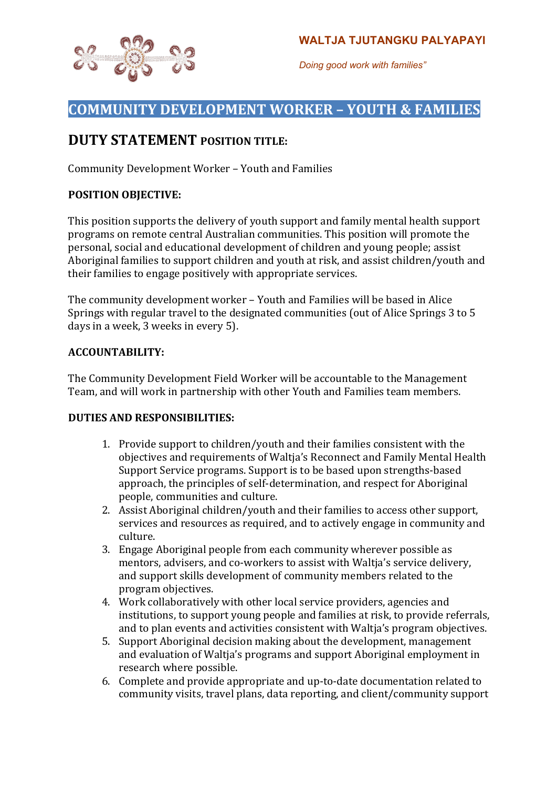

*Doing good work with families"*

# **COMMUNITY DEVELOPMENT WORKER - YOUTH & FAMILIES**

# **DUTY STATEMENT POSITION TITLE:**

Community Development Worker - Youth and Families

## **POSITION OBJECTIVE:**

This position supports the delivery of youth support and family mental health support programs on remote central Australian communities. This position will promote the personal, social and educational development of children and young people; assist Aboriginal families to support children and youth at risk, and assist children/youth and their families to engage positively with appropriate services.

The community development worker - Youth and Families will be based in Alice Springs with regular travel to the designated communities (out of Alice Springs 3 to 5 days in a week, 3 weeks in every 5).

## **ACCOUNTABILITY:**

The Community Development Field Worker will be accountable to the Management Team, and will work in partnership with other Youth and Families team members.

## **DUTIES AND RESPONSIBILITIES:**

- 1. Provide support to children/youth and their families consistent with the objectives and requirements of Waltia's Reconnect and Family Mental Health Support Service programs. Support is to be based upon strengths-based approach, the principles of self-determination, and respect for Aboriginal people, communities and culture.
- 2. Assist Aboriginal children/youth and their families to access other support, services and resources as required, and to actively engage in community and culture.
- 3. Engage Aboriginal people from each community wherever possible as mentors, advisers, and co-workers to assist with Waltja's service delivery, and support skills development of community members related to the program objectives.
- 4. Work collaboratively with other local service providers, agencies and institutions, to support young people and families at risk, to provide referrals, and to plan events and activities consistent with Waltja's program objectives.
- 5. Support Aboriginal decision making about the development, management and evaluation of Waltja's programs and support Aboriginal employment in research where possible.
- 6. Complete and provide appropriate and up-to-date documentation related to community visits, travel plans, data reporting, and client/community support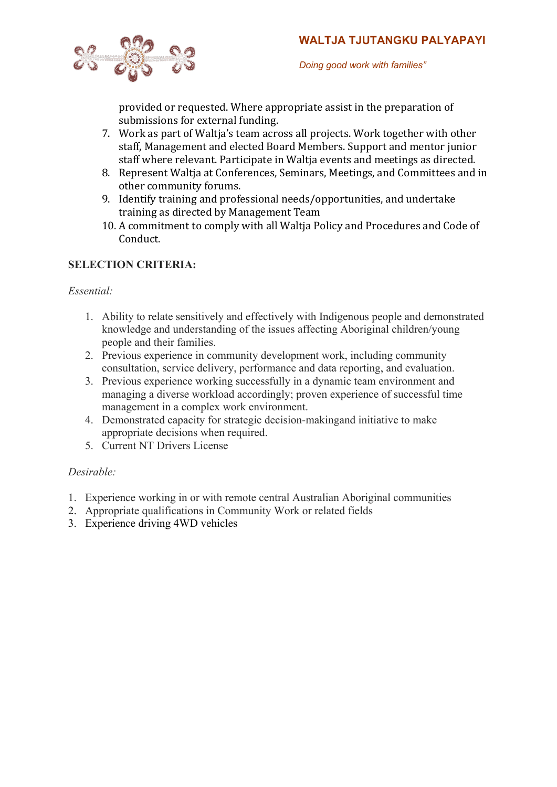

*Doing good work with families"*

provided or requested. Where appropriate assist in the preparation of submissions for external funding.

- 7. Work as part of Waltja's team across all projects. Work together with other staff, Management and elected Board Members. Support and mentor junior staff where relevant. Participate in Waltia events and meetings as directed.
- 8. Represent Waltia at Conferences, Seminars, Meetings, and Committees and in other community forums.
- 9. Identify training and professional needs/opportunities, and undertake training as directed by Management Team
- 10. A commitment to comply with all Waltja Policy and Procedures and Code of Conduct.

# **SELECTION CRITERIA:**

#### *Essential:*

- 1. Ability to relate sensitively and effectively with Indigenous people and demonstrated knowledge and understanding of the issues affecting Aboriginal children/young people and their families.
- 2. Previous experience in community development work, including community consultation, service delivery, performance and data reporting, and evaluation.
- 3. Previous experience working successfully in a dynamic team environment and managing a diverse workload accordingly; proven experience of successful time management in a complex work environment.
- 4. Demonstrated capacity for strategic decision-makingand initiative to make appropriate decisions when required.
- 5. Current NT Drivers License

## *Desirable:*

- 1. Experience working in or with remote central Australian Aboriginal communities
- 2. Appropriate qualifications in Community Work or related fields
- 3. Experience driving 4WD vehicles